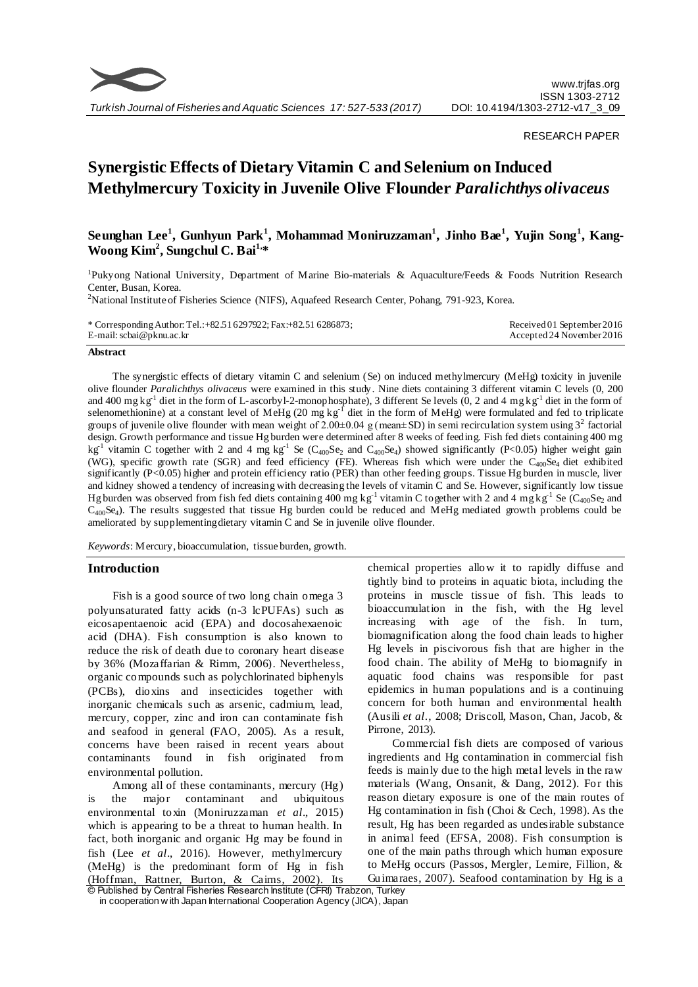

RESEARCH PAPER

# **Synergistic Effects of Dietary Vitamin C and Selenium on Induced Methylmercury Toxicity in Juvenile Olive Flounder** *Paralichthys olivaceus*

# **Seunghan Lee<sup>1</sup> , Gunhyun Park 1 , Mohammad Moniruzzaman<sup>1</sup> , Jinho Bae<sup>1</sup> , Yujin Song<sup>1</sup> , Kang-Woong Kim<sup>2</sup> , Sungchul C. Bai1, \***

<sup>1</sup>Pukyong National University, Department of Marine Bio-materials & Aquaculture/Feeds & Foods Nutrition Research Center, Busan, Korea.

<sup>2</sup>National Institute of Fisheries Science (NIFS), Aquafeed Research Center, Pohang, 791-923, Korea.

| * Corresponding Author: Tel.: +82.51 6297922; Fax: +82.51 6286873; | Received 01 September 2016 |
|--------------------------------------------------------------------|----------------------------|
| E-mail: scbai@pknu.ac.kr                                           | Accepted 24 November 2016  |

#### **Abstract**

The synergistic effects of dietary vitamin C and selenium (Se) on induced methylmercury (MeHg) toxicity in juvenile olive flounder *Paralichthys olivaceus* were examined in this study. Nine diets containing 3 different vitamin C levels (0, 200 and 400 mg kg<sup>-1</sup> diet in the form of L-ascorbyl-2-monophosphate), 3 different Se levels (0, 2 and 4 mg kg<sup>-1</sup> diet in the form of selenomethionine) at a constant level of MeHg (20 mg kg<sup>-1</sup> diet in the form of MeHg) were formulated and fed to triplicate groups of juvenile olive flounder with mean weight of 2.00 $\pm$ 0.04 g (mean $\pm$ SD) in semi recirculation system using 3<sup>2</sup> factorial design. Growth performance and tissue Hg burden were determined after 8 weeks of feeding. Fish fed diets containing 400 mg  $kg<sup>-1</sup>$  vitamin C together with 2 and 4 mg kg<sup>-1</sup> Se (C<sub>400</sub>Se<sub>2</sub> and C<sub>400</sub>Se<sub>4</sub>) showed significantly (P<0.05) higher weight gain (WG), specific growth rate (SGR) and feed efficiency (FE). Whereas fish which were under the  $C_{400}Se_4$  diet exhibited significantly (P<0.05) higher and protein efficiency ratio (PER) than other feeding groups. Tissue Hg burden in muscle, liver and kidney showed a tendency of increasing with decreasing the levels of vitamin C and Se. However, significantly low tissue Hg burden was observed from fish fed diets containing 400 mg  $kg^{-1}$  vitamin C together with 2 and 4 mg  $kg^{-1}$  Se (C<sub>400</sub>Se<sub>2</sub> and  $C_{400}$ Se<sub>4</sub>). The results suggested that tissue Hg burden could be reduced and MeHg mediated growth problems could be ameliorated by supplementing dietary vitamin C and Se in juvenile olive flounder.

*Keywords*: Mercury, bioaccumulation, tissue burden, growth.

# **Introduction**

Fish is a good source of two long chain omega 3 polyunsaturated fatty acids (n-3 lcPUFAs) such as eicosapentaenoic acid (EPA) and docosahexaenoic acid (DHA). Fish consumption is also known to reduce the risk of death due to coronary heart disease by 36% (Mozaffarian & Rimm, 2006). Nevertheless, organic compounds such as polychlorinated biphenyls (PCBs), dioxins and insecticides together with inorganic chemicals such as arsenic, cadmium, lead, mercury, copper, zinc and iron can contaminate fish and seafood in general (FAO, 2005). As a result, concerns have been raised in recent years about contaminants found in fish originated from environmental pollution.

Among all of these contaminants, mercury (Hg) is the major contaminant and ubiquitous environmental toxin (Moniruzzaman *et al*., 2015) which is appearing to be a threat to human health. In fact, both inorganic and organic Hg may be found in fish (Lee *et al*., 2016). However, methylmercury (MeHg) is the predominant form of Hg in fish (Hoffman, Rattner, Burton, & Cairns, 2002). Its chemical properties allow it to rapidly diffuse and tightly bind to proteins in aquatic biota, including the proteins in muscle tissue of fish. This leads to bioaccumulation in the fish, with the Hg level increasing with age of the fish. In turn, biomagnification along the food chain leads to higher Hg levels in piscivorous fish that are higher in the food chain. The ability of MeHg to biomagnify in aquatic food chains was responsible for past epidemics in human populations and is a continuing concern for both human and environmental health (Ausili *et al*., 2008; Driscoll, Mason, Chan, Jacob, & Pirrone, 2013).

Commercial fish diets are composed of various ingredients and Hg contamination in commercial fish feeds is mainly due to the high metal levels in the raw materials (Wang, Onsanit, & Dang, 2012). For this reason dietary exposure is one of the main routes of Hg contamination in fish (Choi & Cech, 1998). As the result, Hg has been regarded as undesirable substance in animal feed (EFSA, 2008). Fish consumption is one of the main paths through which human exposure to MeHg occurs (Passos, Mergler, Lemire, Fillion, & Guimaraes, 2007). Seafood contamination by Hg is a

<sup>©</sup> Published by Central Fisheries Research Institute (CFRI) Trabzon, Turkey in cooperation w ith Japan International Cooperation Agency (JICA), Japan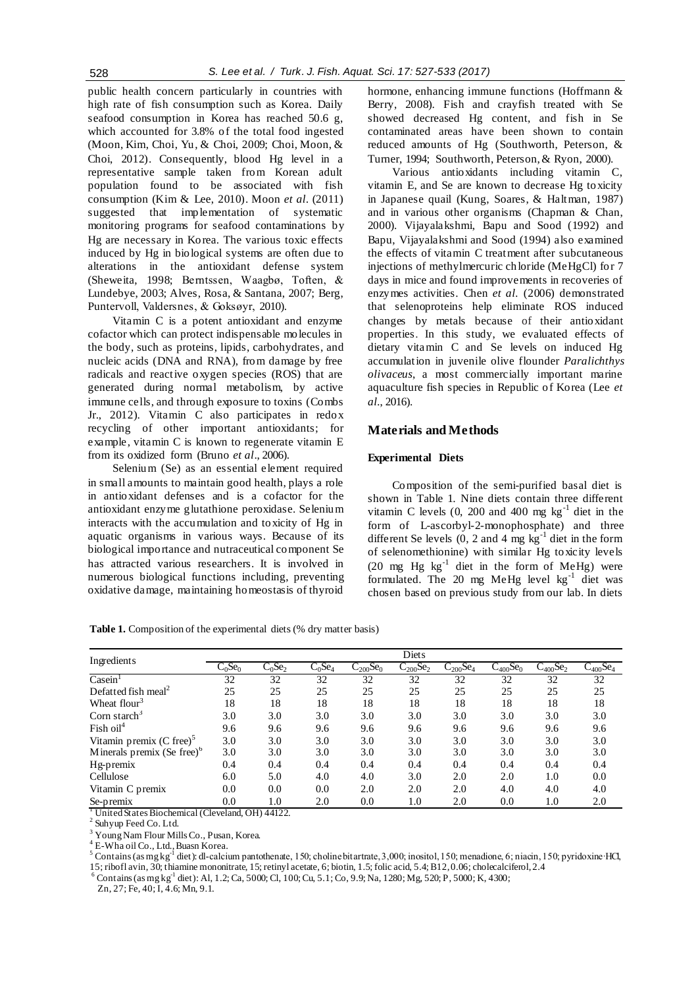public health concern particularly in countries with high rate of fish consumption such as Korea. Daily seafood consumption in Korea has reached 50.6 g, which accounted for 3.8% of the total food ingested (Moon, Kim, Choi, Yu, & Choi, 2009; Choi, Moon, & Choi, 2012). Consequently, blood Hg level in a representative sample taken from Korean adult population found to be associated with fish consumption (Kim & Lee, 2010). Moon *et al.* (2011) suggested that implementation of systematic monitoring programs for seafood contaminations by Hg are necessary in Korea. The various toxic effects induced by Hg in biological systems are often due to alterations in the antioxidant defense system (Sheweita, 1998; Berntssen, Waagbø, Toften, & Lundebye, 2003; Alves, Rosa, & Santana, 2007; Berg, Puntervoll, Valdersnes, & Goksøyr, 2010).

Vitamin C is a potent antioxidant and enzyme cofactor which can protect indispensable molecules in the body, such as proteins, lipids, carbohydrates, and nucleic acids (DNA and RNA), from damage by free radicals and reactive oxygen species (ROS) that are generated during normal metabolism, by active immune cells, and through exposure to toxins (Combs Jr., 2012). Vitamin C also participates in redox recycling of other important antioxidants; for example, vitamin C is known to regenerate vitamin E from its oxidized form (Bruno *et al*., 2006).

Selenium (Se) as an essential element required in small amounts to maintain good health, plays a role in antioxidant defenses and is a cofactor for the antioxidant enzyme glutathione peroxidase. Selenium interacts with the accumulation and toxicity of Hg in aquatic organisms in various ways. Because of its biological importance and nutraceutical component Se has attracted various researchers. It is involved in numerous biological functions including, preventing oxidative damage, maintaining homeostasis of thyroid hormone, enhancing immune functions (Hoffmann & Berry, 2008). Fish and crayfish treated with Se showed decreased Hg content, and fish in Se contaminated areas have been shown to contain reduced amounts of Hg (Southworth, Peterson, & Turner, 1994; Southworth, Peterson, & Ryon, 2000).

Various antioxidants including vitamin C, vitamin E, and Se are known to decrease Hg toxicity in Japanese quail (Kung, Soares, & Haltman, 1987) and in various other organisms (Chapman & Chan, 2000). Vijayalakshmi, Bapu and Sood (1992) and Bapu, Vijayalakshmi and Sood (1994) also examined the effects of vitamin C treatment after subcutaneous injections of methylmercuric chloride (MeHgCl) for 7 days in mice and found improvements in recoveries of enzymes activities. Chen *et al.* (2006) demonstrated that selenoproteins help eliminate ROS induced changes by metals because of their antioxidant properties. In this study, we evaluated effects of dietary vitamin C and Se levels on induced Hg accumulation in juvenile olive flounder *Paralichthys olivaceus*, a most commercially important marine aquaculture fish species in Republic of Korea (Lee *et al.*, 2016).

# **Materials and Methods**

#### **Experimental Diets**

Composition of the semi-purified basal diet is shown in Table 1. Nine diets contain three different vitamin C levels  $(0, 200$  and  $400$  mg kg<sup>-1</sup> diet in the form of L-ascorbyl-2-monophosphate) and three different Se levels  $(0, 2 \text{ and } 4 \text{ mg kg}^{-1})$  diet in the form of selenomethionine) with similar Hg toxicity levels (20 mg Hg  $kg^{-1}$  diet in the form of MeHg) were formulated. The 20 mg MeHg level kg<sup>-1</sup> diet was chosen based on previous study from our lab. In diets

**Table 1.** Composition of the experimental diets (% dry matter basis)

| Ingredients                     |                       |                       |                       |               | Diets         |               |                           |               |               |
|---------------------------------|-----------------------|-----------------------|-----------------------|---------------|---------------|---------------|---------------------------|---------------|---------------|
|                                 | $C_0$ Se <sub>0</sub> | $C_0$ Se <sub>2</sub> | $C_0$ Se <sub>4</sub> | $C_{200}Se_0$ | $C_{200}Se_2$ | $C_{200}Se_4$ | $C_{400}$ Se <sub>0</sub> | $C_{400}Se_2$ | $C_{400}Se_4$ |
| $\overline{\text{Casein}}$      | 32                    | 32                    | 32                    | 32            | 32            | 32            | 32                        | 32            | 32            |
| Defatted fish meal <sup>2</sup> | 25                    | 25                    | 25                    | 25            | 25            | 25            | 25                        | 25            | 25            |
| Wheat flour <sup>3</sup>        | 18                    | 18                    | 18                    | 18            | 18            | 18            | 18                        | 18            | 18            |
| Corn starch <sup>3</sup>        | 3.0                   | 3.0                   | 3.0                   | 3.0           | 3.0           | 3.0           | 3.0                       | 3.0           | 3.0           |
| Fish oil <sup>4</sup>           | 9.6                   | 9.6                   | 9.6                   | 9.6           | 9.6           | 9.6           | 9.6                       | 9.6           | 9.6           |
| Vitamin premix $(C$ free $)^3$  | 3.0                   | 3.0                   | 3.0                   | 3.0           | 3.0           | 3.0           | 3.0                       | 3.0           | 3.0           |
| Minerals premix (Se free) $6$   | 3.0                   | 3.0                   | 3.0                   | 3.0           | 3.0           | 3.0           | 3.0                       | 3.0           | 3.0           |
| Hg-premix                       | 0.4                   | 0.4                   | 0.4                   | 0.4           | 0.4           | 0.4           | 0.4                       | 0.4           | 0.4           |
| Cellulose                       | 6.0                   | 5.0                   | 4.0                   | 4.0           | 3.0           | 2.0           | 2.0                       | 1.0           | 0.0           |
| Vitamin C premix                | 0.0                   | 0.0                   | 0.0                   | 2.0           | 2.0           | 2.0           | 4.0                       | 4.0           | 4.0           |
| Se-premix                       | 0.0                   | 1.0                   | 2.0                   | 0.0           | 1.0           | 2.0           | 0.0                       | 1.0           | 2.0           |

<sup>1</sup> United States Biochemical (Cleveland, OH) 44122.

<sup>2</sup> Suhyup Feed Co. Ltd.

<sup>3</sup> Young Nam Flour Mills Co., Pusan, Korea.

<sup>4</sup> E-Wha oil Co., Ltd., Buasn Korea.

<sup>5</sup> Contains (as mg kg<sup>-1</sup> diet): dl-calcium pantothenate, 150; choline bitartrate, 3,000; inositol, 150; menadione, 6; niacin, 150; pyridoxine·HCl, 15; ribofl avin, 30; thiamine mononitrate, 15; retinyl acetate, 6; biotin, 1.5; folic acid, 5.4; B12, 0.06; cholecalciferol, 2.4

 $^6$  Contains (as mg kg<sup>-1</sup> diet): Al, 1.2; Ca, 5000; Cl, 100; Cu, 5.1; Co, 9.9; Na, 1280; Mg, 520; P, 5000; K, 4300;

Zn, 27; Fe, 40; I, 4.6; Mn, 9.1.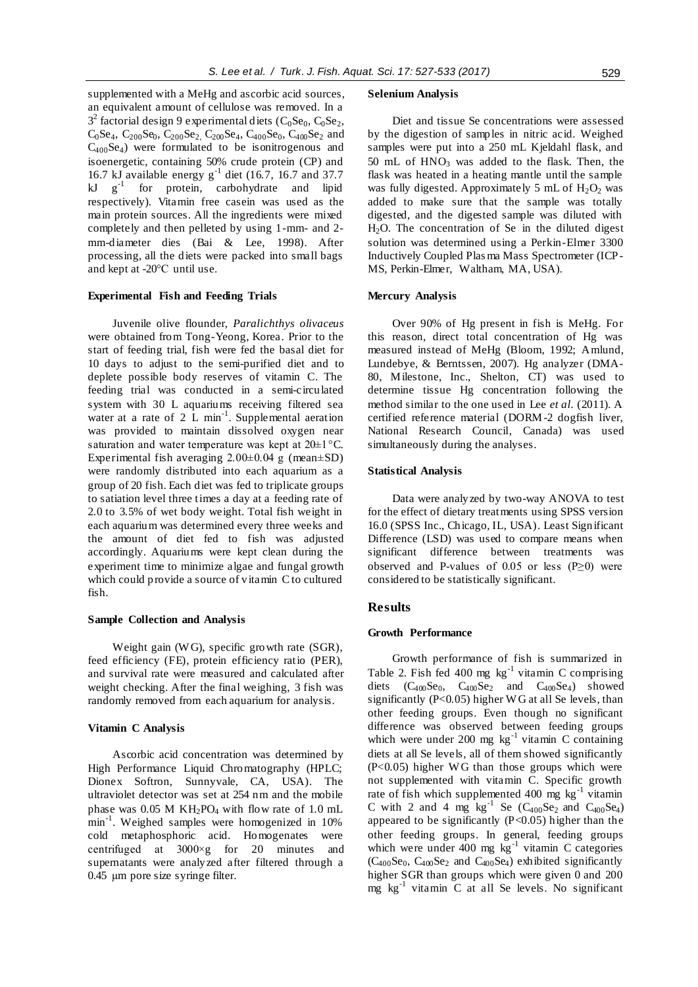supplemented with a MeHg and ascorbic acid sources, an equivalent amount of cellulose was removed. In a  $3^2$  factorial design 9 experimental diets (C<sub>0</sub>Se<sub>0</sub>, C<sub>0</sub>Se<sub>2</sub>,  $C_0$ Se<sub>4</sub>,  $C_{200}$ Se<sub>0</sub>,  $C_{200}$ Se<sub>2</sub>,  $C_{200}$ Se<sub>4</sub>,  $C_{400}$ Se<sub>0</sub>,  $C_{400}$ Se<sub>2</sub> and  $C_{400}Se_4$ ) were formulated to be isonitrogenous and isoenergetic, containing 50% crude protein (CP) and 16.7 kJ available energy  $g^{-1}$  diet (16.7, 16.7 and 37.7  $kJ$   $g^{-1}$  for protein, carbohydrate and lipid respectively). Vitamin free casein was used as the main protein sources. All the ingredients were mixed completely and then pelleted by using 1-mm- and 2 mm-diameter dies (Bai & Lee, 1998). After processing, all the diets were packed into small bags and kept at -20°C until use.

#### **Experimental Fish and Feeding Trials**

Juvenile olive flounder, *Paralichthys olivaceus* were obtained from Tong-Yeong, Korea. Prior to the start of feeding trial, fish were fed the basal diet for 10 days to adjust to the semi-purified diet and to deplete possible body reserves of vitamin C. The feeding trial was conducted in a semi-circulated system with 30 L aquariums receiving filtered sea water at a rate of  $2\text{ L min}^{-1}$ . Supplemental aeration was provided to maintain dissolved oxygen near saturation and water temperature was kept at  $20\pm1^{\circ}$ C. Experimental fish averaging  $2.00\pm0.04$  g (mean $\pm$ SD) were randomly distributed into each aquarium as a group of 20 fish. Each diet was fed to triplicate groups to satiation level three times a day at a feeding rate of 2.0 to 3.5% of wet body weight. Total fish weight in each aquarium was determined every three weeks and the amount of diet fed to fish was adjusted accordingly. Aquariums were kept clean during the experiment time to minimize algae and fungal growth which could provide a source of vitamin C to cultured fish.

#### **Sample Collection and Analysis**

Weight gain (W G), specific growth rate (SGR), feed efficiency (FE), protein efficiency ratio (PER), and survival rate were measured and calculated after weight checking. After the final weighing, 3 fish was randomly removed from each aquarium for analysis.

#### **Vitamin C Analysis**

Ascorbic acid concentration was determined by High Performance Liquid Chromatography (HPLC; Dionex Softron, Sunnyvale, CA, USA). The ultraviolet detector was set at 254 nm and the mobile phase was 0.05 M  $KH_2PO_4$  with flow rate of 1.0 mL min<sup>-1</sup>. Weighed samples were homogenized in 10% cold metaphosphoric acid. Homogenates were centrifuged at 3000×g for 20 minutes and supernatants were analyzed after filtered through a 0.45 µm pore size syringe filter.

#### **Selenium Analysis**

Diet and tissue Se concentrations were assessed by the digestion of samples in nitric acid. Weighed samples were put into a 250 mL Kjeldahl flask, and 50 mL of  $HNO<sub>3</sub>$  was added to the flask. Then, the flask was heated in a heating mantle until the sample was fully digested. Approximately 5 mL of  $H_2O_2$  was added to make sure that the sample was totally digested, and the digested sample was diluted with H2O. The concentration of Se in the diluted digest solution was determined using a Perkin-Elmer 3300 Inductively Coupled Plas ma Mass Spectrometer (ICP-MS, Perkin-Elmer, Waltham, MA, USA).

#### **Mercury Analysis**

Over 90% of Hg present in fish is MeHg. For this reason, direct total concentration of Hg was measured instead of MeHg (Bloom, 1992; Amlund, Lundebye, & Berntssen, 2007). Hg analyzer (DMA-80, Milestone, Inc., Shelton, CT) was used to determine tissue Hg concentration following the method similar to the one used in Lee *et al.* (2011). A certified reference material (DORM-2 dogfish liver, National Research Council, Canada) was used simultaneously during the analyses.

#### **Statistical Analysis**

Data were analyzed by two-way ANOVA to test for the effect of dietary treatments using SPSS version 16.0 (SPSS Inc., Chicago, IL, USA). Least Significant Difference (LSD) was used to compare means when significant difference between treatments was observed and P-values of 0.05 or less  $(P \ge 0)$  were considered to be statistically significant.

#### **Results**

#### **Growth Performance**

Growth performance of fish is summarized in Table 2. Fish fed 400 mg  $kg^{-1}$  vitamin C comprising diets  $(C_{400}Se_0, C_{400}Se_2$  and  $C_{400}Se_4$ ) showed significantly (P<0.05) higher WG at all Se levels, than other feeding groups. Even though no significant difference was observed between feeding groups which were under 200 mg  $\text{kg}^{-1}$  vitamin C containing diets at all Se levels, all of them showed significantly  $(P<0.05)$  higher WG than those groups which were not supplemented with vitamin C. Specific growth rate of fish which supplemented  $400 \text{ mg}$  kg<sup>-1</sup> vitamin C with 2 and 4 mg  $kg^{-1}$  Se (C<sub>400</sub>Se<sub>2</sub> and C<sub>400</sub>Se<sub>4</sub>) appeared to be significantly (P<0.05) higher than the other feeding groups. In general, feeding groups which were under  $400$  mg  $\text{kg}^{-1}$  vitamin C categories  $(C_{400}Se_0, C_{400}Se_2$  and  $C_{400}Se_4$ ) exhibited significantly higher SGR than groups which were given 0 and 200 mg kg-1 vitamin C at all Se levels. No significant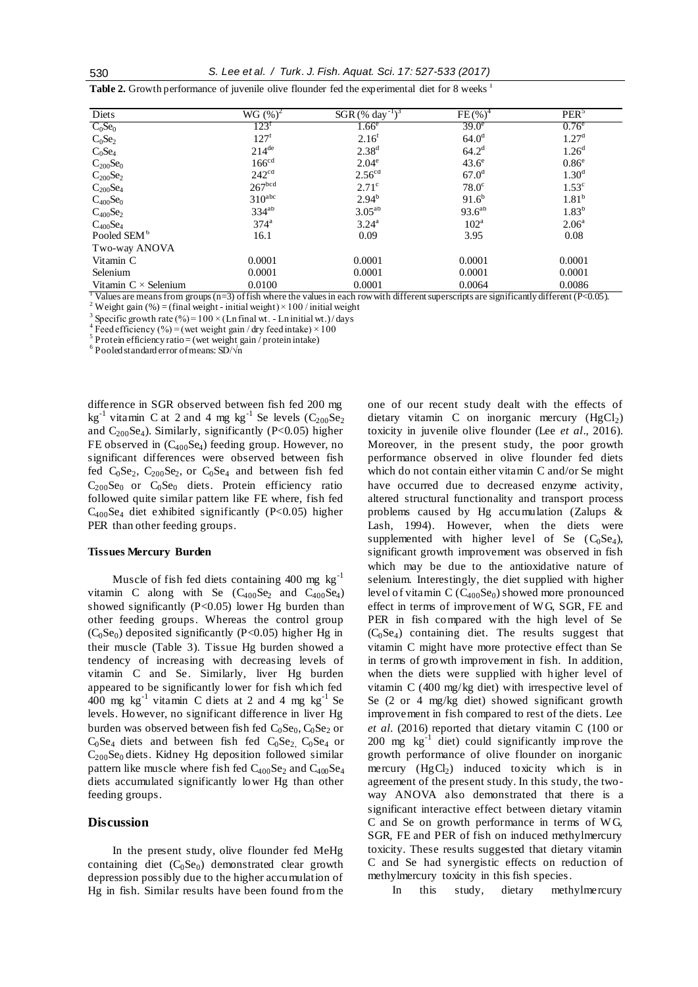**Table 2.** Growth performance of juvenile olive flounder fed the experimental diet for 8 weeks <sup>1</sup>

| Diets                                         | $WG (%)^2$          | SGR $(\% \text{ day}^{-1})^3$ | $FE(%)^4$        | PER <sup>5</sup>                                                |
|-----------------------------------------------|---------------------|-------------------------------|------------------|-----------------------------------------------------------------|
| $C_0$ Se <sub>0</sub>                         | $123^t$             | 1.66 <sup>e</sup>             | $39.0^\circ$     | $0.76^e$                                                        |
| $C_0Se_2$                                     | $127^{\rm f}$       | 2.16 <sup>f</sup>             | $64.0^{\rm d}$   | 1.27 <sup>d</sup>                                               |
| $C_0Se_4$                                     | $214$ <sup>de</sup> | $2.38^{d}$                    | $64.2^{\rm d}$   | 1.26 <sup>d</sup>                                               |
|                                               | 166 <sup>cd</sup>   | $2.04^e$                      | $43.6^\circ$     | $0.86^\mathrm{e}$                                               |
| $\rm C_{200}Se_0$ $\rm C_{200}Se_2$           | 242 <sup>cd</sup>   | 2.56 <sup>cd</sup>            | $67.0^{\rm d}$   | 1.30 <sup>d</sup>                                               |
| $C_{200}Se_4$                                 | 267 <sup>bcd</sup>  | $2.71^{\circ}$                | $78.0^\circ$     | $1.53^{\circ}$                                                  |
| $C_{400}Se_0$                                 | $310^{\text{abc}}$  | $2.94^{b}$                    | $91.6^{b}$       | $1.81^{b}$                                                      |
| $C_{400}Se_2$                                 | $334^{ab}$          | $3.05^{ab}$                   | $93.6^{ab}$      | $1.83^{b}$                                                      |
| $C_{400}Se_4$                                 | 374 <sup>a</sup>    | $3.24^{\rm a}$                | 102 <sup>a</sup> | $2.06^{\rm a}$                                                  |
| Pooled SEM <sup>6</sup>                       | 16.1                | 0.09                          | 3.95             | 0.08                                                            |
| Two-way ANOVA                                 |                     |                               |                  |                                                                 |
| Vitamin C                                     | 0.0001              | 0.0001                        | 0.0001           | 0.0001                                                          |
| Selenium                                      | 0.0001              | 0.0001                        | 0.0001           | 0.0001                                                          |
| Vitamin $C \times$ Selenium<br>1 <del>.</del> | 0.0100              | 0.0001<br>.                   | 0.0064<br>$\sim$ | 0.0086<br>$\cdots$<br>$\sim$ $\sim$ $\sim$ $\sim$ $\sim$ $\sim$ |

Values are means from groups ( $n=3$ ) of fish where the values in each row with different superscripts are significantly different ( $P<0.05$ ). <sup>2</sup> Weight gain (%) = (final weight - initial weight) × 100 / initial weight

<sup>3</sup> Specific growth rate (%) =  $100 \times$  (Ln final wt. - Ln initial wt.)/days

<sup>4</sup> Feed efficiency (%) = (wet weight gain / dry feed intake)  $\times$  100

 $5$  Protein efficiency ratio = (wet weight gain / protein intake)

<sup>6</sup>Pooled standard error of means: SD/√n

difference in SGR observed between fish fed 200 mg kg<sup>-1</sup> vitamin C at 2 and 4 mg kg<sup>-1</sup> Se levels  $(C_{200}Se_2)$ and  $C_{200}Se_4$ ). Similarly, significantly (P<0.05) higher FE observed in  $(C_{400}Se_4)$  feeding group. However, no significant differences were observed between fish fed  $C_0$ Se<sub>2</sub>,  $C_{200}$ Se<sub>2</sub>, or  $C_0$ Se<sub>4</sub> and between fish fed  $C_{200}$ Se<sub>0</sub> or  $C_0$ Se<sub>0</sub> diets. Protein efficiency ratio followed quite similar pattern like FE where, fish fed  $C_{400}$ Se<sub>4</sub> diet exhibited significantly (P<0.05) higher PER than other feeding groups.

#### **Tissues Mercury Burden**

Muscle of fish fed diets containing 400 mg kg<sup>-1</sup> vitamin C along with Se  $(C_{400}Se_2$  and  $C_{400}Se_4$ ) showed significantly (P<0.05) lower Hg burden than other feeding groups. Whereas the control group  $(C_0Se_0)$  deposited significantly (P<0.05) higher Hg in their muscle (Table 3). Tissue Hg burden showed a tendency of increasing with decreasing levels of vitamin C and Se. Similarly, liver Hg burden appeared to be significantly lower for fish which fed  $400$  mg kg<sup>-1</sup> vitamin C diets at 2 and 4 mg kg<sup>-1</sup> Se levels. However, no significant difference in liver Hg burden was observed between fish fed  $C_0Se_0$ ,  $C_0Se_2$  or  $C_0$ Se<sub>4</sub> diets and between fish fed  $C_0$ Se<sub>2</sub>,  $C_0$ Se<sub>4</sub> or  $C_{200}$ Se<sub>0</sub> diets. Kidney Hg deposition followed similar pattern like muscle where fish fed  $C_{400}Se_2$  and  $C_{400}Se_4$ diets accumulated significantly lower Hg than other feeding groups.

# **Discussion**

In the present study, olive flounder fed MeHg containing diet  $(C_0Se_0)$  demonstrated clear growth depression possibly due to the higher accumulation of Hg in fish. Similar results have been found from the

one of our recent study dealt with the effects of dietary vitamin C on inorganic mercury  $(HgCl<sub>2</sub>)$ toxicity in juvenile olive flounder (Lee *et al*., 2016). Moreover, in the present study, the poor growth performance observed in olive flounder fed diets which do not contain either vitamin C and/or Se might have occurred due to decreased enzyme activity, altered structural functionality and transport process problems caused by Hg accumulation (Zalups & Lash, 1994). However, when the diets were supplemented with higher level of Se  $(C_0Se_4)$ , significant growth improvement was observed in fish which may be due to the antioxidative nature of selenium. Interestingly, the diet supplied with higher level of vitamin C  $(C_{400}Se_0)$  showed more pronounced effect in terms of improvement of W G, SGR, FE and PER in fish compared with the high level of Se  $(C_0Se_4)$  containing diet. The results suggest that vitamin C might have more protective effect than Se in terms of growth improvement in fish. In addition, when the diets were supplied with higher level of vitamin C (400 mg/kg diet) with irrespective level of Se (2 or 4 mg/kg diet) showed significant growth improvement in fish compared to rest of the diets. Lee *et al.* (2016) reported that dietary vitamin C (100 or 200 mg  $\text{kg}^{-1}$  diet) could significantly improve the growth performance of olive flounder on inorganic mercury  $(HgCl<sub>2</sub>)$  induced toxicity which is in agreement of the present study. In this study, the twoway ANOVA also demonstrated that there is a significant interactive effect between dietary vitamin  $C$  and Se on growth performance in terms of WG, SGR, FE and PER of fish on induced methylmercury toxicity. These results suggested that dietary vitamin C and Se had synergistic effects on reduction of methylmercury toxicity in this fish species.

In this study, dietary methylmercury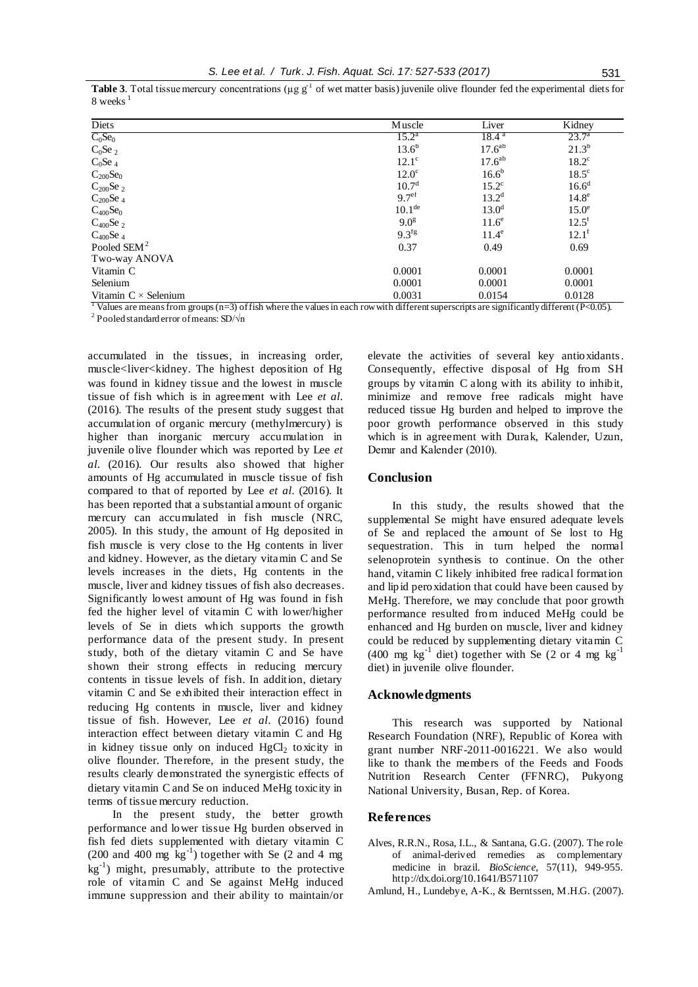**Table 3.** Total tissue mercury concentrations ( $\mu$ g  $g^{-1}$  of wet matter basis) juvenile olive flounder fed the experimental diets for 8 weeks <sup>1</sup>

| Diets                                                | Muscle              | Liver              | Kidney              |
|------------------------------------------------------|---------------------|--------------------|---------------------|
| $C_0$ Se <sub>0</sub>                                | $15.2^{\rm a}$      | 18.4 <sup>a</sup>  | $23.7^{\circ}$      |
| $C_0$ Se 2                                           | $13.6^{b}$          | 17.6 <sup>ab</sup> | $21.3^{b}$          |
| $C_0$ Se 4                                           | $12.1^\circ$        | 17.6 <sup>ab</sup> | $18.2^{\circ}$      |
|                                                      | $12.0^\circ$        | $16.6^{b}$         | $18.5^{\circ}$      |
| $C_{200}Se_0$<br>$C_{200}Se_2$                       | 10.7 <sup>d</sup>   | $15.2^{\circ}$     | 16.6 <sup>d</sup>   |
| $C_{200}$ Se 4                                       | 9.7 <sup>ef</sup>   | $13.2^d$           | 14.8 <sup>e</sup>   |
| $C_{400}Se_0$                                        | 10.1 <sup>de</sup>  | $13.0^d$           | $15.0^\circ$        |
| $C_{400}$ Se 2                                       | 9.0 <sup>g</sup>    | 11.6 <sup>e</sup>  | $12.5^{\mathrm{f}}$ |
| $C_{400}$ Se 4                                       | $9.3$ <sup>fg</sup> | $11.4^\mathrm{e}$  | $12.1^{\text{f}}$   |
| Pooled SEM <sup>2</sup>                              | 0.37                | 0.49               | 0.69                |
| Two-way ANOVA                                        |                     |                    |                     |
| Vitamin C                                            | 0.0001              | 0.0001             | 0.0001              |
| Selenium                                             | 0.0001              | 0.0001             | 0.0001              |
| Vitamin $C \times$ Selenium<br>$T \leftrightarrow T$ | 0.0031              | 0.0154             | 0.0128              |

Values are means from groups  $(n=3)$  of fish where the values in each row with different superscripts are significantly different  $(P<0.05)$ .

<sup>2</sup> Pooled standard error of means: SD/ $\sqrt{n}$ 

accumulated in the tissues, in increasing order, muscle<liver<kidney. The highest deposition of Hg was found in kidney tissue and the lowest in muscle tissue of fish which is in agreement with Lee *et al.* (2016). The results of the present study suggest that accumulation of organic mercury (methylmercury) is higher than inorganic mercury accumulation in juvenile olive flounder which was reported by Lee *et al.* (2016). Our results also showed that higher amounts of Hg accumulated in muscle tissue of fish compared to that of reported by Lee *et al.* (2016). It has been reported that a substantial amount of organic mercury can accumulated in fish muscle (NRC, 2005). In this study, the amount of Hg deposited in fish muscle is very close to the Hg contents in liver and kidney. However, as the dietary vitamin C and Se levels increases in the diets, Hg contents in the muscle, liver and kidney tissues of fish also decreases. Significantly lowest amount of Hg was found in fish fed the higher level of vitamin C with lower/higher levels of Se in diets which supports the growth performance data of the present study. In present study, both of the dietary vitamin C and Se have shown their strong effects in reducing mercury contents in tissue levels of fish. In addition, dietary vitamin C and Se exhibited their interaction effect in reducing Hg contents in muscle, liver and kidney tissue of fish. However, Lee *et al.* (2016) found interaction effect between dietary vitamin C and Hg in kidney tissue only on induced  $HgCl<sub>2</sub>$  toxicity in olive flounder. Therefore, in the present study, the results clearly demonstrated the synergistic effects of dietary vitamin C and Se on induced MeHg toxicity in terms of tissue mercury reduction.

In the present study, the better growth performance and lower tissue Hg burden observed in fish fed diets supplemented with dietary vitamin C  $(200 \text{ and } 400 \text{ mg} \text{ kg}^{-1})$  together with Se  $(2 \text{ and } 4 \text{ mg})$ kg-1 ) might, presumably, attribute to the protective role of vitamin C and Se against MeHg induced immune suppression and their ability to maintain/or

elevate the activities of several key antioxidants. Consequently, effective disposal of Hg from SH groups by vitamin C along with its ability to inhibit, minimize and remove free radicals might have reduced tissue Hg burden and helped to improve the poor growth performance observed in this study which is in agreement with Durak, Kalender, Uzun, Demır and Kalender (2010).

# **Conclusion**

In this study, the results showed that the supplemental Se might have ensured adequate levels of Se and replaced the amount of Se lost to Hg sequestration. This in turn helped the normal selenoprotein synthesis to continue. On the other hand, vitamin C likely inhibited free radical formation and lipid peroxidation that could have been caused by MeHg. Therefore, we may conclude that poor growth performance resulted from induced MeHg could be enhanced and Hg burden on muscle, liver and kidney could be reduced by supplementing dietary vitamin C  $(400 \text{ mg kg}^{-1}$  diet) together with Se (2 or 4 mg kg<sup>-1</sup>) diet) in juvenile olive flounder.

# **Acknowledgments**

This research was supported by National Research Foundation (NRF), Republic of Korea with grant number NRF-2011-0016221. We also would like to thank the members of the Feeds and Foods Nutrition Research Center (FFNRC), Pukyong National University, Busan, Rep. of Korea.

#### **References**

- Alves, R.R.N., Rosa, I.L., & Santana, G.G. (2007). The role of animal-derived remedies as complementary medicine in brazil. *BioScience,* 57(11), 949-955. <http://dx.doi.org/10.1641/B571107>
- Amlund, H., Lundebye, A-K., & Berntssen, M.H.G. (2007).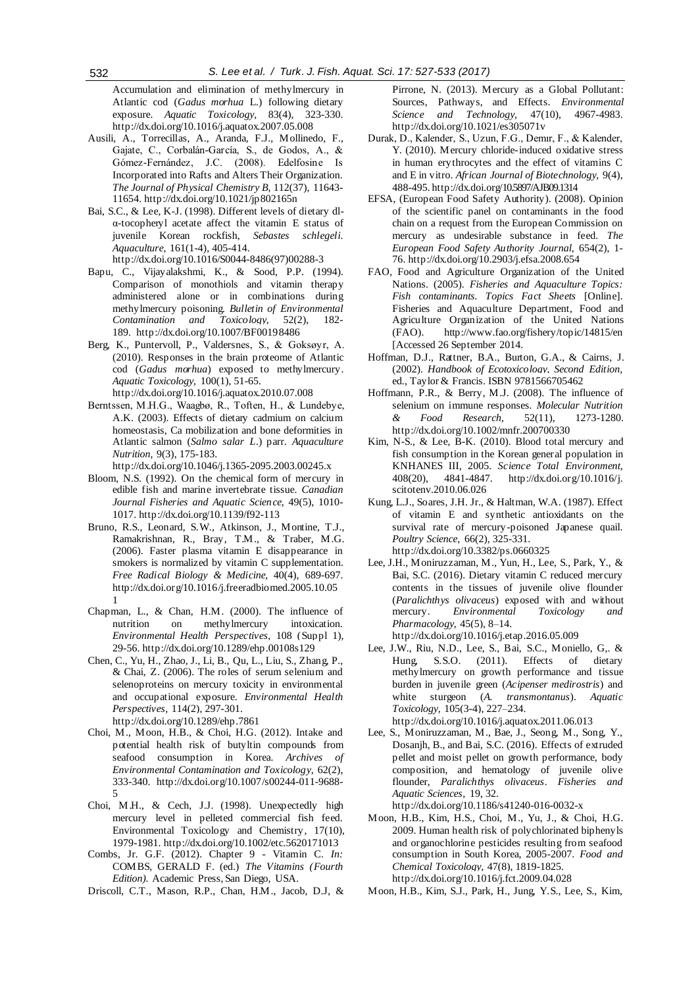Accumulation and elimination of methylmercury in Atlantic cod (*Gadus morhua* L.) following dietary exposure. *Aquatic Toxicology,* 83(4), 323-330. <http://dx.doi.org/10.1016/j.aquatox.2007.05.008>

- Ausili, A., Torrecillas, A., Aranda, F.J., Mollinedo, F., Gajate, C., Corbalán-García, S., de Godos, A., & Gómez-Fernández, J.C. (2008). Edelfosine Is Incorporated into Rafts and Alters Their Organization. *The Journal of Physical Chemistry B,* 112(37), 11643- 11654.<http://dx.doi.org/10.1021/jp802165n>
- Bai, S.C., & Lee, K-J. (1998). Different levels of dietary dlα-tocopheryl acetate affect the vitamin E status of juvenile Korean rockfish, *Sebastes schlegeli*. *Aquaculture,* 161(1-4), 405-414. [http://dx.doi.org/10.1016/S0044-8486\(97\)00288-3](http://dx.doi.org/10.1016/S0044-8486(97)00288-3)
- Bapu, C., Vijayalakshmi, K., & Sood, P.P. (1994). Comparison of monothiols and vitamin therapy administered alone or in combinations during methylmercury poisoning. *Bulletin of Environmental Contamination and Toxicology,* 52(2), 182- 189. <http://dx.doi.org/10.1007/BF00198486>
- Berg, K., Puntervoll, P., Valdersnes, S., & Goksøyr, A. (2010). Responses in the brain proteome of Atlantic cod (*Gadus morhua*) exposed to methylmercury. *Aquatic Toxicology,* 100(1), 51-65. <http://dx.doi.org/10.1016/j.aquatox.2010.07.008>
- Berntssen, M.H.G., Waagbø, R., Toften, H., & Lundebye, A.K. (2003). Effects of dietary cadmium on calcium homeostasis, Ca mobilization and bone deformities in Atlantic salmon (*Salmo salar L*.) parr. *Aquaculture Nutrition,* 9(3), 175-183.
	- <http://dx.doi.org/10.1046/j.1365-2095.2003.00245.x>
- Bloom, N.S. (1992). On the chemical form of mercury in edible fish and marine invertebrate tissue. *Canadian Journal Fisheries and Aquatic Science,* 49(5), 1010- 1017.<http://dx.doi.org/10.1139/f92-113>
- Bruno, R.S., Leonard, S.W., Atkinson, J., Montine, T.J., Ramakrishnan, R., Bray, T.M., & Traber, M.G. (2006). Faster plasma vitamin E disappearance in smokers is normalized by vitamin C supplementation. *Free Radical Biology & Medicine,* 40(4), 689-697. [http://dx.doi.org/10.1016/j.freeradbiomed.2005.10.05](http://dx.doi.org/10.1016/j.freeradbiomed.2005.10.051)
- Chapman, L., & Chan, H.M. (2000). The influence of nutrition on methylmercury intoxication. *Environmental Health Perspectives,* 108 (Suppl 1), 29-56. <http://dx.doi.org/10.1289/ehp.00108s129>

[1](http://dx.doi.org/10.1016/j.freeradbiomed.2005.10.051)

- Chen, C., Yu, H., Zhao, J., Li, B., Qu, L., Liu, S., Zhang, P., & Chai, Z. (2006). The roles of serum selenium and selenoproteins on mercury toxicity in environmental and occupational exposure. *Environmental Health Perspectives,* 114(2), 297-301. http://dx.doi.org[/10.1289/ehp.7861](http://dx.doi.org/10.1289%2Fehp.7861)
- Choi, M., Moon, H.B., & Choi, H.G. (2012). Intake and potential health risk of butyltin compounds from seafood consumption in Korea. *Archives of Environmental Contamination and Toxicology,* 62(2), 333-340. [http://dx.doi.org/10.1007/s00244-011-9688-](http://dx.doi.org/10.1007/s00244-011-9688-5) [5](http://dx.doi.org/10.1007/s00244-011-9688-5)
- Choi, M.H., & Cech, J.J. (1998). Unexpectedly high mercury level in pelleted commercial fish feed. Environmental Toxicology and Chemistry*,* 17(10), 1979-1981.<http://dx.doi.org/10.1002/etc.5620171013>
- Combs, Jr. G.F. (2012). Chapter 9 Vitamin C. *In:* COMBS, GERALD F. (ed.) *The Vitamins (Fourth Edition).* Academic Press, San Diego, USA.
- Driscoll, C.T., Mason, R.P., Chan, H.M., Jacob, D.J, &

Pirrone, N. (2013). Mercury as a Global Pollutant: Sources, Pathways, and Effects. *Environmental Science and Technology,* 47(10), 4967-4983. <http://dx.doi.org/10.1021/es305071v>

- Durak, D., Kalender, S., Uzun, F.G., Demır, F., & Kalender, Y. (2010). Mercury chloride-induced oxidative stress in human erythrocytes and the effect of vitamins C and E in vitro. *African Journal of Biotechnology,* 9(4), 488-495. <http://dx.doi.org/10.5897/AJB09.1314>
- EFSA, (European Food Safety Authority). (2008). Opinion of the scientific panel on contaminants in the food chain on a request from the European Commission on mercury as undesirable substance in feed. *The European Food Safety Authority Journal,* 654(2), 1- 76. <http://dx.doi.org/10.2903/j.efsa.2008.654>
- FAO, Food and Agriculture Organization of the United Nations. (2005). *Fisheries and Aquaculture Topics: Fish contaminants. Topics Fact Sheets* [Online]. Fisheries and Aquaculture Department, Food and Agriculture Organization of the United Nations (FAO). http://www.fao.org/fishery/topic/14815/en [Accessed 26 September 2014.
- Hoffman, D.J., Rattner, B.A., Burton, G.A., & Cairns, J. (2002). *Handbook of Ecotoxicology, Second Edition,*  ed*.*, Taylor & Francis. ISBN 9781566705462
- Hoffmann, P.R., & Berry, M.J. (2008). The influence of selenium on immune responses. *Molecular Nutrition & Food Research,* 52(11), 1273-1280. <http://dx.doi.org/10.1002/mnfr.200700330>
- Kim, N-S., & Lee, B-K. (2010). Blood total mercury and fish consumption in the Korean general population in KNHANES III, 2005. *Science Total Environment,*  408(20), 4841-4847. http://dx.doi.org/10.1016/j. scitotenv.2010.06.026
- Kung, L.J., Soares, J.H. Jr., & Haltman, W.A. (1987). Effect of vitamin E and synthetic antioxidants on the survival rate of mercury-poisoned Japanese quail. *Poultry Science,* 66(2), 325-331. <http://dx.doi.org/10.3382/ps.0660325>
- Lee, J.H., Moniruzzaman, M., Yun, H., Lee, S., Park, Y., & Bai, S.C. (2016). Dietary vitamin C reduced mercury contents in the tissues of juvenile olive flounder (*Paralichthys olivaceus*) exposed with and without mercury. *Environmental Toxicology and Pharmacology,* 45(5), 8–14.
	- <http://dx.doi.org/10.1016/j.etap.2016.05.009>
- Lee, J.W., Riu, N.D., Lee, S., Bai, S.C., Moniello, G,. & Hung, S.S.O. (2011). Effects of dietary methylmercury on growth performance and tissue burden in juvenile green (*Acipenser medirostris*) and white sturgeon (*A. transmontanus*). *Aquatic Toxicology,* 105(3-4), 227–234.
- <http://dx.doi.org/10.1016/j.aquatox.2011.06.013>
- Lee, S., Moniruzzaman, M., Bae, J., Seong, M., Song, Y., Dosanjh, B., and Bai, S.C. (2016). Effects of extruded pellet and moist pellet on growth performance, body composition, and hematology of juvenile olive flounder, *Paralichthys olivaceus*. *Fisheries and Aquatic Sciences,* 19, 32.
	- <http://dx.doi.org/10.1186/s41240-016-0032-x>
- Moon, H.B., Kim, H.S., Choi, M., Yu, J., & Choi, H.G. 2009. Human health risk of polychlorinated biphenyls and organochlorine pesticides resulting from seafood consumption in South Korea, 2005-2007. *Food and Chemical Toxicology,* 47(8), 1819-1825. http://dx.doi.org/10.1016/j.fct.2009.04.028
- Moon, H.B., Kim, S.J., Park, H., Jung, Y.S., Lee, S., Kim,